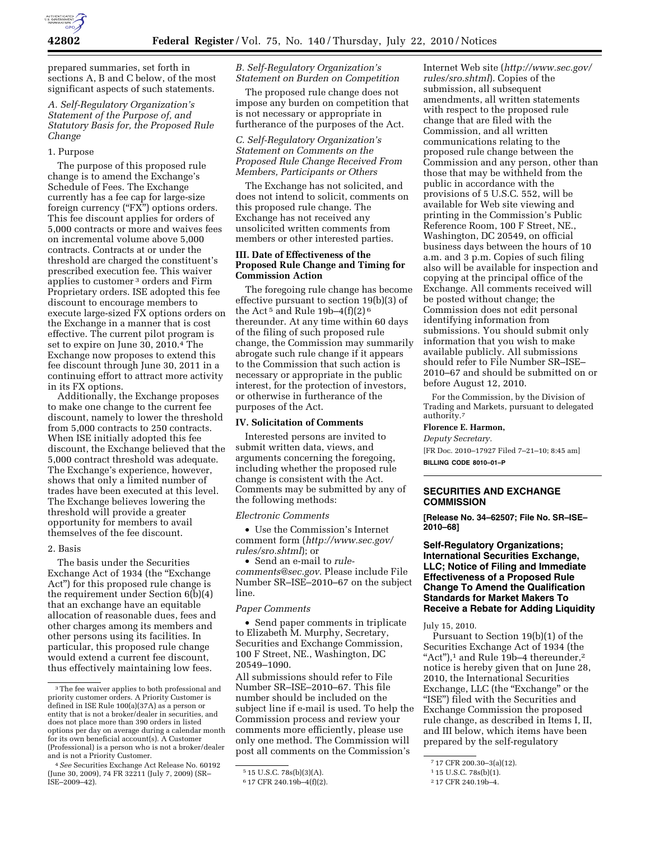

prepared summaries, set forth in sections A, B and C below, of the most significant aspects of such statements.

## *A. Self-Regulatory Organization's Statement of the Purpose of, and Statutory Basis for, the Proposed Rule Change*

### 1. Purpose

The purpose of this proposed rule change is to amend the Exchange's Schedule of Fees. The Exchange currently has a fee cap for large-size foreign currency ("FX") options orders. This fee discount applies for orders of 5,000 contracts or more and waives fees on incremental volume above 5,000 contracts. Contracts at or under the threshold are charged the constituent's prescribed execution fee. This waiver applies to customer 3 orders and Firm Proprietary orders. ISE adopted this fee discount to encourage members to execute large-sized FX options orders on the Exchange in a manner that is cost effective. The current pilot program is set to expire on June 30, 2010.4 The Exchange now proposes to extend this fee discount through June 30, 2011 in a continuing effort to attract more activity in its FX options.

Additionally, the Exchange proposes to make one change to the current fee discount, namely to lower the threshold from 5,000 contracts to 250 contracts. When ISE initially adopted this fee discount, the Exchange believed that the 5,000 contract threshold was adequate. The Exchange's experience, however, shows that only a limited number of trades have been executed at this level. The Exchange believes lowering the threshold will provide a greater opportunity for members to avail themselves of the fee discount.

### 2. Basis

The basis under the Securities Exchange Act of 1934 (the "Exchange Act'') for this proposed rule change is the requirement under Section 6(b)(4) that an exchange have an equitable allocation of reasonable dues, fees and other charges among its members and other persons using its facilities. In particular, this proposed rule change would extend a current fee discount, thus effectively maintaining low fees.

*B. Self-Regulatory Organization's Statement on Burden on Competition* 

The proposed rule change does not impose any burden on competition that is not necessary or appropriate in furtherance of the purposes of the Act.

*C. Self-Regulatory Organization's Statement on Comments on the Proposed Rule Change Received From Members, Participants or Others* 

The Exchange has not solicited, and does not intend to solicit, comments on this proposed rule change. The Exchange has not received any unsolicited written comments from members or other interested parties.

### **III. Date of Effectiveness of the Proposed Rule Change and Timing for Commission Action**

The foregoing rule change has become effective pursuant to section 19(b)(3) of the Act<sup>5</sup> and Rule 19b–4(f)(2)<sup>6</sup> thereunder. At any time within 60 days of the filing of such proposed rule change, the Commission may summarily abrogate such rule change if it appears to the Commission that such action is necessary or appropriate in the public interest, for the protection of investors, or otherwise in furtherance of the purposes of the Act.

### **IV. Solicitation of Comments**

Interested persons are invited to submit written data, views, and arguments concerning the foregoing, including whether the proposed rule change is consistent with the Act. Comments may be submitted by any of the following methods:

#### *Electronic Comments*

• Use the Commission's Internet comment form (*[http://www.sec.gov/](http://www.sec.gov/rules/sro.shtml)  [rules/sro.shtml](http://www.sec.gov/rules/sro.shtml)*); or

• Send an e-mail to *[rule](mailto:rule-comments@sec.gov)[comments@sec.gov](mailto:rule-comments@sec.gov)*. Please include File Number SR–ISE–2010–67 on the subject line.

### *Paper Comments*

• Send paper comments in triplicate to Elizabeth M. Murphy, Secretary, Securities and Exchange Commission, 100 F Street, NE., Washington, DC 20549–1090.

All submissions should refer to File Number SR–ISE–2010–67. This file number should be included on the subject line if e-mail is used. To help the Commission process and review your comments more efficiently, please use only one method. The Commission will post all comments on the Commission's

Internet Web site (*[http://www.sec.gov/](http://www.sec.gov/rules/sro.shtml)  [rules/sro.shtml](http://www.sec.gov/rules/sro.shtml)*). Copies of the submission, all subsequent amendments, all written statements with respect to the proposed rule change that are filed with the Commission, and all written communications relating to the proposed rule change between the Commission and any person, other than those that may be withheld from the public in accordance with the provisions of 5 U.S.C. 552, will be available for Web site viewing and printing in the Commission's Public Reference Room, 100 F Street, NE., Washington, DC 20549, on official business days between the hours of 10 a.m. and 3 p.m. Copies of such filing also will be available for inspection and copying at the principal office of the Exchange. All comments received will be posted without change; the Commission does not edit personal identifying information from submissions. You should submit only information that you wish to make available publicly. All submissions should refer to File Number SR–ISE– 2010–67 and should be submitted on or before August 12, 2010.

For the Commission, by the Division of Trading and Markets, pursuant to delegated authority.7

#### **Florence E. Harmon,**

*Deputy Secretary.*  [FR Doc. 2010–17927 Filed 7–21–10; 8:45 am] **BILLING CODE 8010–01–P** 

# **SECURITIES AND EXCHANGE COMMISSION**

**[Release No. 34–62507; File No. SR–ISE– 2010–68]** 

**Self-Regulatory Organizations; International Securities Exchange, LLC; Notice of Filing and Immediate Effectiveness of a Proposed Rule Change To Amend the Qualification Standards for Market Makers To Receive a Rebate for Adding Liquidity** 

July 15, 2010.

Pursuant to Section 19(b)(1) of the Securities Exchange Act of 1934 (the "Act"), $1$  and Rule 19b-4 thereunder, $2$ notice is hereby given that on June 28, 2010, the International Securities Exchange, LLC (the "Exchange" or the ''ISE'') filed with the Securities and Exchange Commission the proposed rule change, as described in Items I, II, and III below, which items have been prepared by the self-regulatory

<sup>3</sup>The fee waiver applies to both professional and priority customer orders. A Priority Customer is defined in ISE Rule 100(a)(37A) as a person or entity that is not a broker/dealer in securities, and does not place more than 390 orders in listed options per day on average during a calendar month for its own beneficial account(s). A Customer (Professional) is a person who is not a broker/dealer and is not a Priority Customer.

<sup>4</sup>*See* Securities Exchange Act Release No. 60192 (June 30, 2009), 74 FR 32211 (July 7, 2009) (SR– ISE–2009–42).

<sup>5</sup> 15 U.S.C. 78s(b)(3)(A).

<sup>6</sup> 17 CFR 240.19b–4(f)(2).

<sup>7</sup> 17 CFR 200.30–3(a)(12).

<sup>1</sup> 15 U.S.C. 78s(b)(1).

<sup>2</sup> 17 CFR 240.19b–4.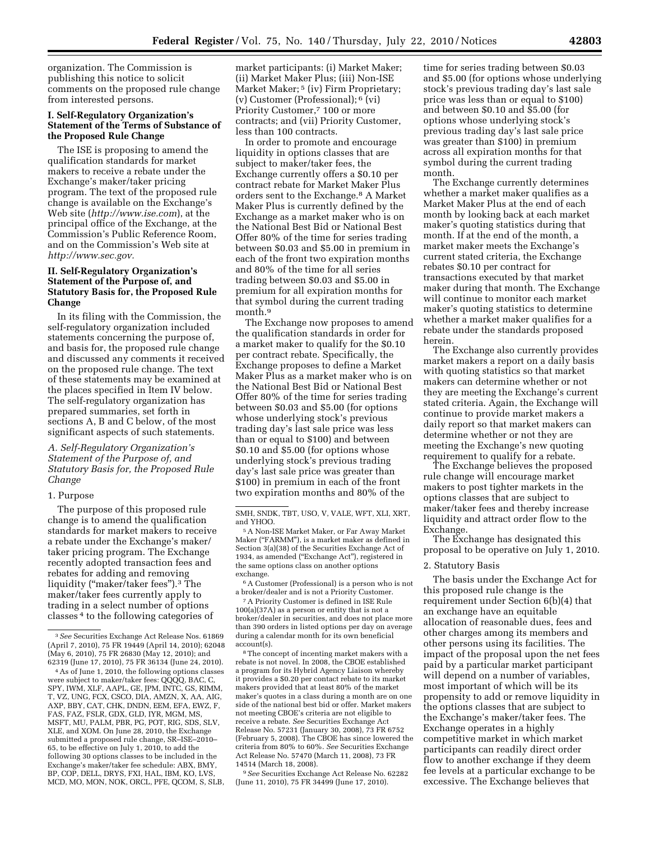organization. The Commission is publishing this notice to solicit comments on the proposed rule change

# **I. Self-Regulatory Organization's Statement of the Terms of Substance of the Proposed Rule Change**

from interested persons.

The ISE is proposing to amend the qualification standards for market makers to receive a rebate under the Exchange's maker/taker pricing program. The text of the proposed rule change is available on the Exchange's Web site (*<http://www.ise.com>*), at the principal office of the Exchange, at the Commission's Public Reference Room, and on the Commission's Web site at *[http://www.sec.gov.](http://www.sec.gov)* 

# **II. Self-Regulatory Organization's Statement of the Purpose of, and Statutory Basis for, the Proposed Rule Change**

In its filing with the Commission, the self-regulatory organization included statements concerning the purpose of, and basis for, the proposed rule change and discussed any comments it received on the proposed rule change. The text of these statements may be examined at the places specified in Item IV below. The self-regulatory organization has prepared summaries, set forth in sections A, B and C below, of the most significant aspects of such statements.

# *A. Self-Regulatory Organization's Statement of the Purpose of, and Statutory Basis for, the Proposed Rule Change*

#### 1. Purpose

The purpose of this proposed rule change is to amend the qualification standards for market makers to receive a rebate under the Exchange's maker/ taker pricing program. The Exchange recently adopted transaction fees and rebates for adding and removing liquidity (''maker/taker fees'').3 The maker/taker fees currently apply to trading in a select number of options classes 4 to the following categories of

market participants: (i) Market Maker; (ii) Market Maker Plus; (iii) Non-ISE Market Maker;<sup>5</sup> (iv) Firm Proprietary; (v) Customer (Professional); 6 (vi) Priority Customer,<sup>7</sup> 100 or more contracts; and (vii) Priority Customer, less than 100 contracts.

In order to promote and encourage liquidity in options classes that are subject to maker/taker fees, the Exchange currently offers a \$0.10 per contract rebate for Market Maker Plus orders sent to the Exchange.8 A Market Maker Plus is currently defined by the Exchange as a market maker who is on the National Best Bid or National Best Offer 80% of the time for series trading between \$0.03 and \$5.00 in premium in each of the front two expiration months and 80% of the time for all series trading between \$0.03 and \$5.00 in premium for all expiration months for that symbol during the current trading month.9

The Exchange now proposes to amend the qualification standards in order for a market maker to qualify for the \$0.10 per contract rebate. Specifically, the Exchange proposes to define a Market Maker Plus as a market maker who is on the National Best Bid or National Best Offer 80% of the time for series trading between \$0.03 and \$5.00 (for options whose underlying stock's previous trading day's last sale price was less than or equal to \$100) and between \$0.10 and \$5.00 (for options whose underlying stock's previous trading day's last sale price was greater than \$100) in premium in each of the front two expiration months and 80% of the

6A Customer (Professional) is a person who is not a broker/dealer and is not a Priority Customer.

7A Priority Customer is defined in ISE Rule 100(a)(37A) as a person or entity that is not a broker/dealer in securities, and does not place more than 390 orders in listed options per day on average during a calendar month for its own beneficial account(s).

8The concept of incenting market makers with a rebate is not novel. In 2008, the CBOE established a program for its Hybrid Agency Liaison whereby it provides a \$0.20 per contact rebate to its market makers provided that at least 80% of the market maker's quotes in a class during a month are on one side of the national best bid or offer. Market makers not meeting CBOE's criteria are not eligible to receive a rebate. *See* Securities Exchange Act Release No. 57231 (January 30, 2008), 73 FR 6752 (February 5, 2008). The CBOE has since lowered the criteria from 80% to 60%. *See* Securities Exchange Act Release No. 57470 (March 11, 2008), 73 FR 14514 (March 18, 2008).

9*See* Securities Exchange Act Release No. 62282 (June 11, 2010), 75 FR 34499 (June 17, 2010).

time for series trading between \$0.03 and \$5.00 (for options whose underlying stock's previous trading day's last sale price was less than or equal to \$100) and between \$0.10 and \$5.00 (for options whose underlying stock's previous trading day's last sale price was greater than \$100) in premium across all expiration months for that symbol during the current trading month.

The Exchange currently determines whether a market maker qualifies as a Market Maker Plus at the end of each month by looking back at each market maker's quoting statistics during that month. If at the end of the month, a market maker meets the Exchange's current stated criteria, the Exchange rebates \$0.10 per contract for transactions executed by that market maker during that month. The Exchange will continue to monitor each market maker's quoting statistics to determine whether a market maker qualifies for a rebate under the standards proposed herein.

The Exchange also currently provides market makers a report on a daily basis with quoting statistics so that market makers can determine whether or not they are meeting the Exchange's current stated criteria. Again, the Exchange will continue to provide market makers a daily report so that market makers can determine whether or not they are meeting the Exchange's new quoting requirement to qualify for a rebate.

The Exchange believes the proposed rule change will encourage market makers to post tighter markets in the options classes that are subject to maker/taker fees and thereby increase liquidity and attract order flow to the Exchange.

The Exchange has designated this proposal to be operative on July 1, 2010.

#### 2. Statutory Basis

The basis under the Exchange Act for this proposed rule change is the requirement under Section 6(b)(4) that an exchange have an equitable allocation of reasonable dues, fees and other charges among its members and other persons using its facilities. The impact of the proposal upon the net fees paid by a particular market participant will depend on a number of variables, most important of which will be its propensity to add or remove liquidity in the options classes that are subject to the Exchange's maker/taker fees. The Exchange operates in a highly competitive market in which market participants can readily direct order flow to another exchange if they deem fee levels at a particular exchange to be excessive. The Exchange believes that

<sup>3</sup>*See* Securities Exchange Act Release Nos. 61869 (April 7, 2010), 75 FR 19449 (April 14, 2010); 62048 (May 6, 2010), 75 FR 26830 (May 12, 2010); and 62319 (June 17, 2010), 75 FR 36134 (June 24, 2010).

<sup>4</sup>As of June 1, 2010, the following options classes were subject to maker/taker fees: QQQQ, BAC, C, SPY, IWM, XLF, AAPL, GE, JPM, INTC, GS, RIMM, T, VZ, UNG, FCX, CSCO, DIA, AMZN, X, AA, AIG, AXP, BBY, CAT, CHK, DNDN, EEM, EFA, EWZ, F, FAS, FAZ, FSLR, GDX, GLD, IYR, MGM, MS, MSFT, MU, PALM, PBR, PG, POT, RIG, SDS, SLV, XLE, and XOM. On June 28, 2010, the Exchange submitted a proposed rule change, SR–ISE–2010– 65, to be effective on July 1, 2010, to add the following 30 options classes to be included in the Exchange's maker/taker fee schedule: ABX, BMY, BP, COP, DELL, DRYS, FXI, HAL, IBM, KO, LVS, MCD, MO, MON, NOK, ORCL, PFE, QCOM, S, SLB,

SMH, SNDK, TBT, USO, V, VALE, WFT, XLI, XRT, and YHOO.

<sup>5</sup>A Non-ISE Market Maker, or Far Away Market Maker (''FARMM''), is a market maker as defined in Section 3(a)(38) of the Securities Exchange Act of 1934, as amended (''Exchange Act''), registered in the same options class on another options exchange.